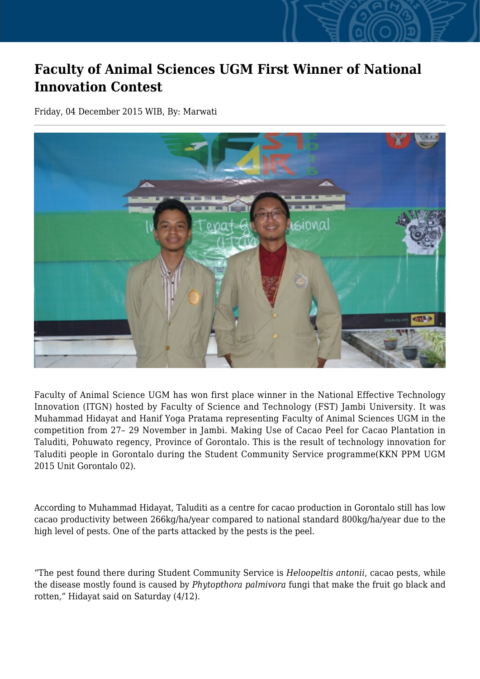## **Faculty of Animal Sciences UGM First Winner of National Innovation Contest**

Friday, 04 December 2015 WIB, By: Marwati



Faculty of Animal Science UGM has won first place winner in the National Effective Technology Innovation (ITGN) hosted by Faculty of Science and Technology (FST) Jambi University. It was Muhammad Hidayat and Hanif Yoga Pratama representing Faculty of Animal Sciences UGM in the competition from 27– 29 November in Jambi. Making Use of Cacao Peel for Cacao Plantation in Taluditi, Pohuwato regency, Province of Gorontalo. This is the result of technology innovation for Taluditi people in Gorontalo during the Student Community Service programme(KKN PPM UGM 2015 Unit Gorontalo 02).

According to Muhammad Hidayat, Taluditi as a centre for cacao production in Gorontalo still has low cacao productivity between 266kg/ha/year compared to national standard 800kg/ha/year due to the high level of pests. One of the parts attacked by the pests is the peel.

"The pest found there during Student Community Service is *Heloopeltis antonii*, cacao pests, while the disease mostly found is caused by *Phytopthora palmivora* fungi that make the fruit go black and rotten," Hidayat said on Saturday (4/12).